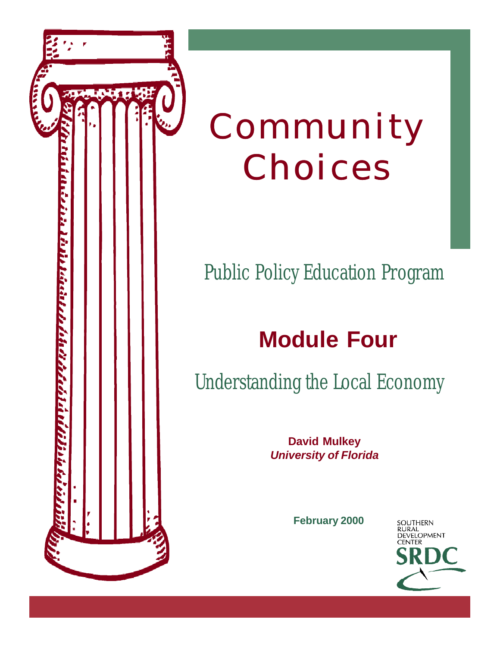

# Community Choices

# Public Policy Education Program

# **Module Four**

Understanding the Local Economy

**David Mulkey** *University of Florida*

**February 2000**

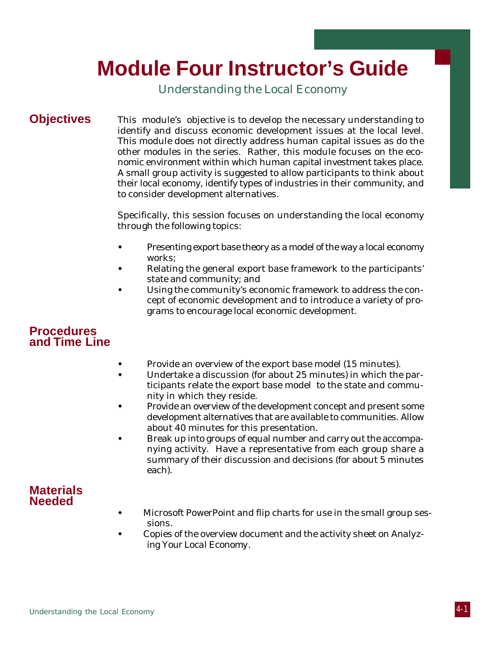# **Module Four Instructor's Guide**

Understanding the Local Economy

**Objectives** This module's objective is to develop the necessary understanding to identify and discuss economic development issues at the local level. This module does not directly address human capital issues as do the other modules in the series. Rather, this module focuses on the economic environment within which human capital investment takes place. A small group activity is suggested to allow participants to think about their local economy, identify types of industries in their community, and to consider development alternatives.

> Specifically, this session focuses on understanding the local economy through the following topics:

- w Presenting export base theory as a model of the way a local economy works;
- Relating the general export base framework to the participants' state and community; and
- Using the community's economic framework to address the concept of economic development and to introduce a variety of programs to encourage local economic development.

# **Procedures and Time Line**

- Provide an overview of the export base model (15 minutes).
- Undertake a discussion (for about 25 minutes) in which the participants relate the export base model to the state and community in which they reside.
- Provide an overview of the development concept and present some development alternatives that are available to communities. Allow about 40 minutes for this presentation.
- Break up into groups of equal number and carry out the accompanying activity. Have a representative from each group share a summary of their discussion and decisions (for about 5 minutes each).

# **Materials Needed**

- Microsoft PowerPoint and flip charts for use in the small group sessions.
- Copies of the overview document and the activity sheet on *Analyzing Your Local Economy.*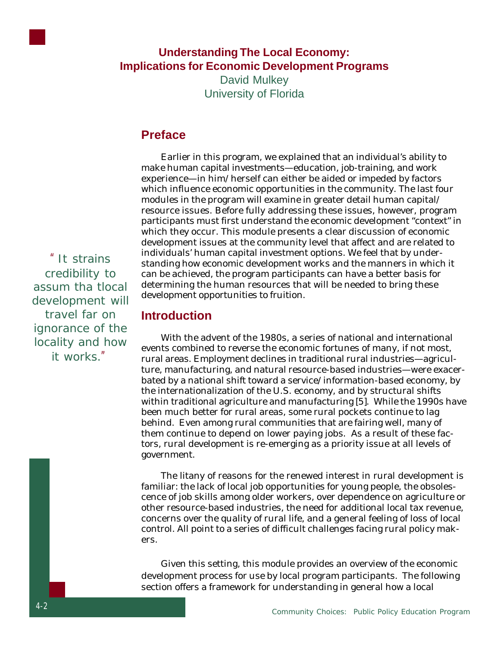

# **Understanding The Local Economy: Implications for Economic Development Programs**

David Mulkey University of Florida

# **Preface**

Earlier in this program, we explained that an individual's ability to make human capital investments—education, job-training, and work experience—in him/herself can either be aided or impeded by factors which influence economic opportunities in the community. The last four modules in the program will examine in greater detail human capital/ resource issues. Before fully addressing these issues, however, program participants must first understand the economic development "context" in which they occur. This module presents a clear discussion of economic development issues at the community level that affect and are related to individuals' human capital investment options. We feel that by understanding how economic development works and the manners in which it can be achieved, the program participants can have a better basis for determining the human resources that will be needed to bring these development opportunities to fruition.

## **Introduction**

With the advent of the 1980s, a series of national and international events combined to reverse the economic fortunes of many, if not most, rural areas. Employment declines in traditional rural industries—agriculture, manufacturing, and natural resource-based industries—were exacerbated by a national shift toward a service/information-based economy, by the internationalization of the U.S. economy, and by structural shifts within traditional agriculture and manufacturing [5]. While the 1990s have been much better for rural areas, some rural pockets continue to lag behind. Even among rural communities that are fairing well, many of them continue to depend on lower paying jobs. As a result of these factors, rural development is re-emerging as a priority issue at all levels of government.

The litany of reasons for the renewed interest in rural development is familiar: the lack of local job opportunities for young people, the obsolescence of job skills among older workers, over dependence on agriculture or other resource-based industries, the need for additional local tax revenue, concerns over the quality of rural life, and a general feeling of loss of local control. All point to a series of difficult challenges facing rural policy makers.

Given this setting, this module provides an overview of the economic development process for use by local program participants. The following section offers a framework for understanding in general how a local

"It strains credibility to assum tha tlocal development will travel far on ignorance of the locality and how it works"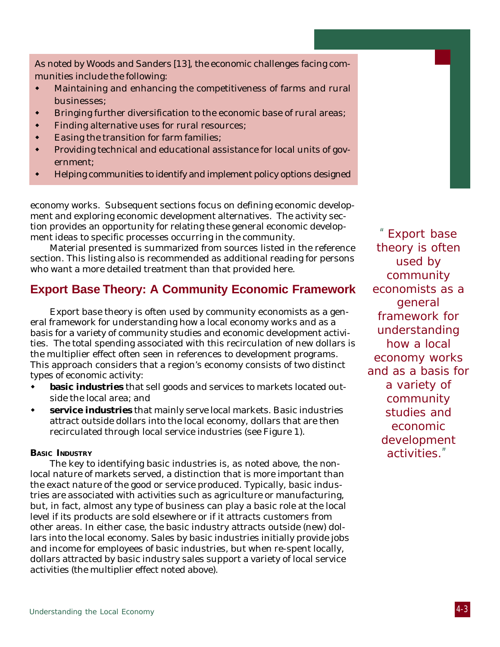As noted by Woods and Sanders [13], the economic challenges facing communities include the following:

- $\bullet$  Maintaining and enhancing the competitiveness of farms and rural businesses;
- Bringing further diversification to the economic base of rural areas;
- w Finding alternative uses for rural resources;
- Easing the transition for farm families;
- w Providing technical and educational assistance for local units of government;
- Helping communities to identify and implement policy options designed

economy works. Subsequent sections focus on defining economic development and exploring economic development alternatives. The activity section provides an opportunity for relating these general economic development ideas to specific processes occurring in the community.

Material presented is summarized from sources listed in the reference section. This listing also is recommended as additional reading for persons who want a more detailed treatment than that provided here.

# **Export Base Theory: A Community Economic Framework**

Export base theory is often used by community economists as a general framework for understanding how a local economy works and as a basis for a variety of community studies and economic development activities. The total spending associated with this recirculation of new dollars is the multiplier effect often seen in references to development programs. This approach considers that a region's economy consists of two distinct types of economic activity:

- **basic industries** that sell goods and services to markets located outside the local area; and
- service industries that mainly serve local markets. Basic industries attract outside dollars into the local economy, dollars that are then recirculated through local service industries (see Figure 1).

#### **BASIC INDUSTRY**

The key to identifying basic industries is, as noted above, the nonlocal nature of markets served, a distinction that is more important than the exact nature of the good or service produced. Typically, basic industries are associated with activities such as agriculture or manufacturing, but, in fact, almost any type of business can play a basic role at the local level if its products are sold elsewhere or if it attracts customers from other areas. In either case, the basic industry attracts outside (new) dollars into the local economy. Sales by basic industries initially provide jobs and income for employees of basic industries, but when re-spent locally, dollars attracted by basic industry sales support a variety of local service activities (the multiplier effect noted above).

"Export base theory is often used by community economists as a general framework for understanding how a local economy works and as a basis for a variety of community studies and economic development activities."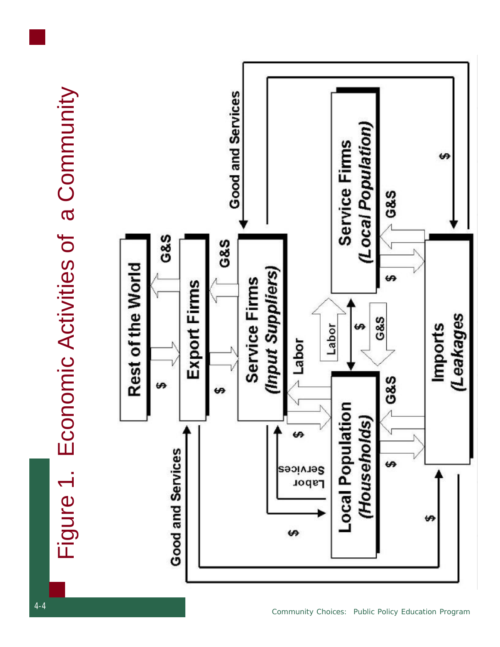Figure 1. Economic Activities of a Community Figure 1. Economic Activities of a Community

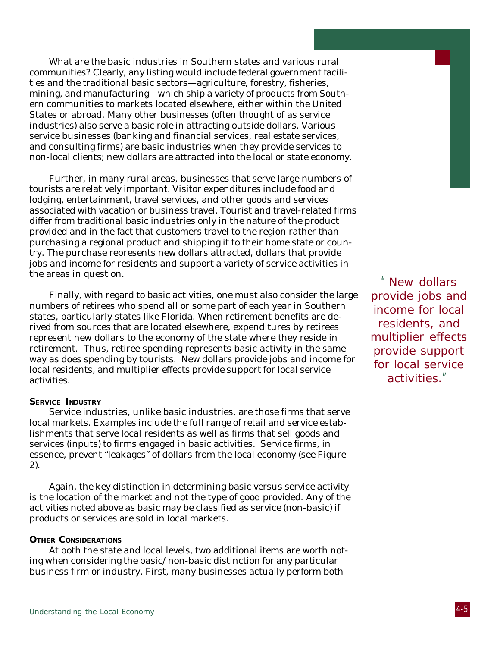What are the basic industries in Southern states and various rural communities? Clearly, any listing would include federal government facilities and the traditional basic sectors—agriculture, forestry, fisheries, mining, and manufacturing—which ship a variety of products from Southern communities to markets located elsewhere, either within the United States or abroad. Many other businesses (often thought of as service industries) also serve a basic role in attracting outside dollars. Various service businesses (banking and financial services, real estate services, and consulting firms) are basic industries when they provide services to non-local clients; new dollars are attracted into the local or state economy.

Further, in many rural areas, businesses that serve large numbers of tourists are relatively important. Visitor expenditures include food and lodging, entertainment, travel services, and other goods and services associated with vacation or business travel. Tourist and travel-related firms differ from traditional basic industries only in the nature of the product provided and in the fact that customers travel to the region rather than purchasing a regional product and shipping it to their home state or country. The purchase represents new dollars attracted, dollars that provide jobs and income for residents and support a variety of service activities in the areas in question.

Finally, with regard to basic activities, one must also consider the large numbers of retirees who spend all or some part of each year in Southern states, particularly states like Florida. When retirement benefits are derived from sources that are located elsewhere, expenditures by retirees represent new dollars to the economy of the state where they reside in retirement. Thus, retiree spending represents basic activity in the same way as does spending by tourists. New dollars provide jobs and income for local residents, and multiplier effects provide support for local service activities.

#### **SERVICE INDUSTRY**

Service industries, unlike basic industries, are those firms that serve local markets. Examples include the full range of retail and service establishments that serve local residents as well as firms that sell goods and services (inputs) to firms engaged in basic activities. Service firms, in essence, prevent "leakages" of dollars from the local economy (see Figure 2).

Again, the key distinction in determining basic versus service activity is the location of the market and not the type of good provided. Any of the activities noted above as basic may be classified as service (non-basic) if products or services are sold in local markets.

#### **OTHER CONSIDERATIONS**

At both the state and local levels, two additional items are worth noting when considering the basic/non-basic distinction for any particular business firm or industry. First, many businesses actually perform both

"New dollars provide jobs and income for local residents, and multiplier effects provide support for local service activities."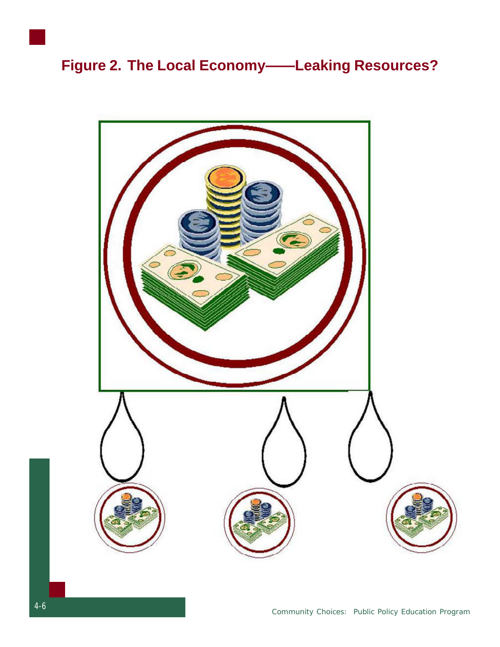# **Figure 2. The Local Economy——Leaking Resources?**

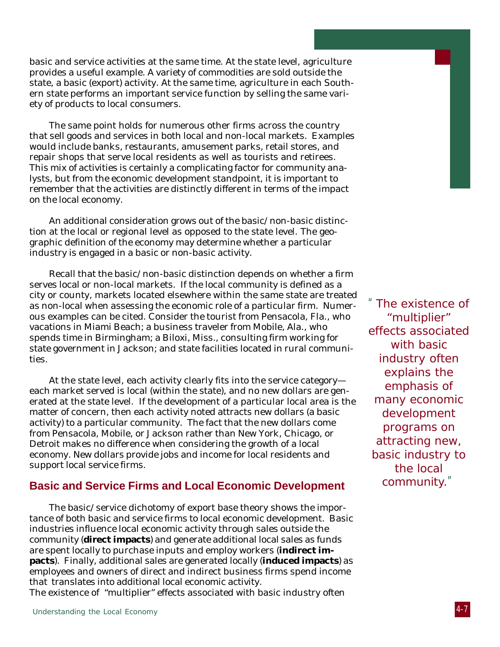basic and service activities at the same time. At the state level, agriculture provides a useful example. A variety of commodities are sold outside the state, a basic (export) activity. At the same time, agriculture in each Southern state performs an important service function by selling the same variety of products to local consumers.

The same point holds for numerous other firms across the country that sell goods and services in both local and non-local markets. Examples would include banks, restaurants, amusement parks, retail stores, and repair shops that serve local residents as well as tourists and retirees. This mix of activities is certainly a complicating factor for community analysts, but from the economic development standpoint, it is important to remember that the activities are distinctly different in terms of the impact on the local economy.

An additional consideration grows out of the basic/non-basic distinction at the local or regional level as opposed to the state level. The geographic definition of the economy may determine whether a particular industry is engaged in a basic or non-basic activity.

Recall that the basic/non-basic distinction depends on whether a firm serves local or non-local markets. If the local community is defined as a city or county, markets located elsewhere within the same state are treated as non-local when assessing the economic role of a particular firm. Numerous examples can be cited. Consider the tourist from Pensacola, Fla., who vacations in Miami Beach; a business traveler from Mobile, Ala., who spends time in Birmingham; a Biloxi, Miss., consulting firm working for state government in Jackson; and state facilities located in rural communities.

At the state level, each activity clearly fits into the service category each market served is local (within the state), and no new dollars are generated at the state level. If the development of a particular local area is the matter of concern, then each activity noted attracts new dollars (a basic activity) to a particular community. The fact that the new dollars come from Pensacola, Mobile, or Jackson rather than New York, Chicago, or Detroit makes no difference when considering the growth of a local economy. New dollars provide jobs and income for local residents and support local service firms.

## **Basic and Service Firms and Local Economic Development**

The basic/service dichotomy of export base theory shows the importance of both basic and service firms to local economic development. Basic industries influence local economic activity through sales outside the community (**direct impacts**) and generate additional local sales as funds are spent locally to purchase inputs and employ workers (**indirect impacts**). Finally, additional sales are generated locally (**induced impacts**) as employees and owners of direct and indirect business firms spend income that translates into additional local economic activity. The existence of "multiplier" effects associated with basic industry often

"The existence of "multiplier" effects associated with basic industry often explains the emphasis of many economic development programs on attracting new, basic industry to the local community."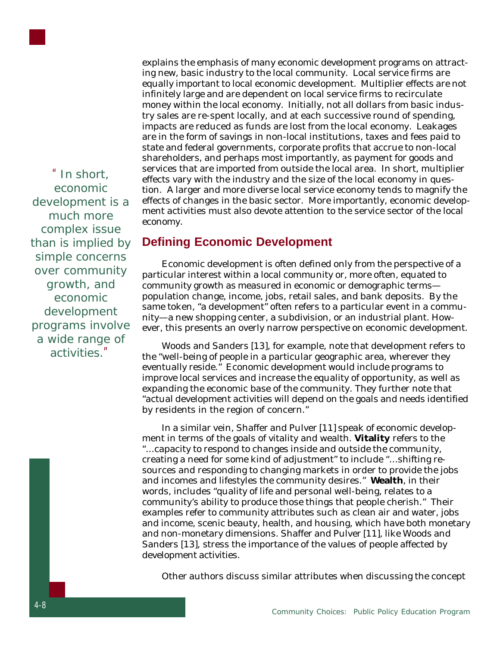

"In short, economic development is a much more complex issue than is implied by simple concerns over community growth, and economic development programs involve a wide range of activities."

explains the emphasis of many economic development programs on attracting new, basic industry to the local community. Local service firms are equally important to local economic development. Multiplier effects are not infinitely large and are dependent on local service firms to recirculate money within the local economy. Initially, not all dollars from basic industry sales are re-spent locally, and at each successive round of spending, impacts are reduced as funds are lost from the local economy. Leakages are in the form of savings in non-local institutions, taxes and fees paid to state and federal governments, corporate profits that accrue to non-local shareholders, and perhaps most importantly, as payment for goods and services that are imported from outside the local area. In short, multiplier effects vary with the industry and the size of the local economy in question. A larger and more diverse local service economy tends to magnify the effects of changes in the basic sector. More importantly, economic development activities must also devote attention to the service sector of the local economy.

# **Defining Economic Development**

Economic development is often defined only from the perspective of a particular interest within a local community or, more often, equated to community growth as measured in economic or demographic terms population change, income, jobs, retail sales, and bank deposits. By the same token, "a development" often refers to a particular event in a community—a new shopping center, a subdivision, or an industrial plant. However, this presents an overly narrow perspective on economic development.

Woods and Sanders [13], for example, note that development refers to the "well-being of people in a particular geographic area, wherever they eventually reside." Economic development would include programs to improve local services and increase the equality of opportunity, as well as expanding the economic base of the community. They further note that "actual development activities will depend on the goals and needs identified by residents in the region of concern."

In a similar vein, Shaffer and Pulver [11] speak of economic development in terms of the goals of vitality and wealth. **Vitality** refers to the "...capacity to respond to changes inside and outside the community, creating a need for some kind of adjustment" to include "...shifting resources and responding to changing markets in order to provide the jobs and incomes and lifestyles the community desires." **Wealth**, in their words, includes "quality of life and personal well-being, relates to a community's ability to produce those things that people cherish." Their examples refer to community attributes such as clean air and water, jobs and income, scenic beauty, health, and housing, which have both monetary and non-monetary dimensions. Shaffer and Pulver [11], like Woods and Sanders [13], stress the importance of the values of people affected by development activities.

Other authors discuss similar attributes when discussing the concept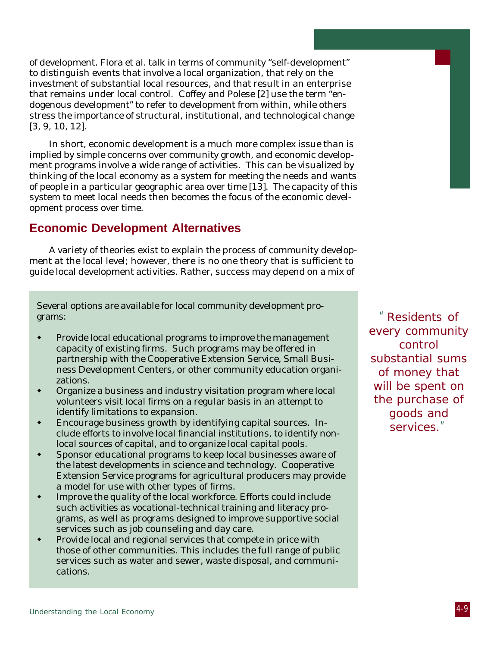of development. Flora et al. talk in terms of community "self-development" to distinguish events that involve a local organization, that rely on the investment of substantial local resources, and that result in an enterprise that remains under local control. Coffey and Polese [2] use the term "endogenous development" to refer to development from within, while others stress the importance of structural, institutional, and technological change [3, 9, 10, 12].

In short, economic development is a much more complex issue than is implied by simple concerns over community growth, and economic development programs involve a wide range of activities. This can be visualized by thinking of the local economy as a system for meeting the needs and wants of people in a particular geographic area over time [13]. The capacity of this system to meet local needs then becomes the focus of the economic development process over time.

# **Economic Development Alternatives**

A variety of theories exist to explain the process of community development at the local level; however, there is no one theory that is sufficient to guide local development activities. Rather, success may depend on a mix of

Several options are available for local community development programs:

- Provide local educational programs to improve the management capacity of existing firms. Such programs may be offered in partnership with the Cooperative Extension Service, Small Business Development Centers, or other community education organizations.
- Organize a business and industry visitation program where local volunteers visit local firms on a regular basis in an attempt to identify limitations to expansion.
- Encourage business growth by identifying capital sources. Include efforts to involve local financial institutions, to identify nonlocal sources of capital, and to organize local capital pools.
- Sponsor educational programs to keep local businesses aware of the latest developments in science and technology. Cooperative Extension Service programs for agricultural producers may provide a model for use with other types of firms.
- Improve the quality of the local workforce. Efforts could include such activities as vocational-technical training and literacy programs, as well as programs designed to improve supportive social services such as job counseling and day care.
- Provide local and regional services that compete in price with those of other communities. This includes the full range of public services such as water and sewer, waste disposal, and communications.

"Residents of every community control substantial sums of money that will be spent on the purchase of goods and services."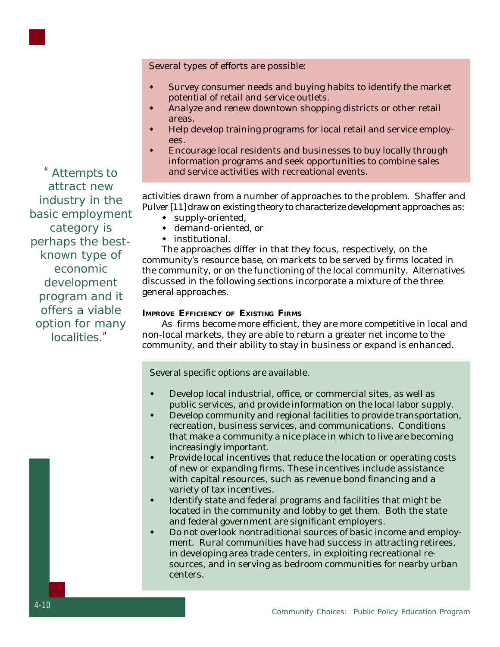Several types of efforts are possible:

- Survey consumer needs and buying habits to identify the market potential of retail and service outlets.
- Analyze and renew downtown shopping districts or other retail areas.
- Help develop training programs for local retail and service employees.
- Encourage local residents and businesses to buy locally through information programs and seek opportunities to combine sales and service activities with recreational events.

activities drawn from a number of approaches to the problem. Shaffer and Pulver [11] draw on existing theory to characterize development approaches as:

- $\bullet$  supply-oriented,
- demand-oriented, or
- $\bullet$  institutional.

The approaches differ in that they focus, respectively, on the community's resource base, on markets to be served by firms located in the community, or on the functioning of the local community. Alternatives discussed in the following sections incorporate a mixture of the three general approaches.

#### **IMPROVE EFFICIENCY OF EXISTING FIRMS**

As firms become more efficient, they are more competitive in local and non-local markets, they are able to return a greater net income to the community, and their ability to stay in business or expand is enhanced.

Several specific options are available.

- Develop local industrial, office, or commercial sites, as well as public services, and provide information on the local labor supply.
- Develop community and regional facilities to provide transportation, recreation, business services, and communications. Conditions that make a community a nice place in which to live are becoming increasingly important.
- Provide local incentives that reduce the location or operating costs of new or expanding firms. These incentives include assistance with capital resources, such as revenue bond financing and a variety of tax incentives.
- Identify state and federal programs and facilities that might be located in the community and lobby to get them. Both the state and federal government are significant employers.
- Do not overlook nontraditional sources of basic income and employment. Rural communities have had success in attracting retirees, in developing area trade centers, in exploiting recreational resources, and in serving as bedroom communities for nearby urban centers.

"Attempts to attract new industry in the basic employment category is perhaps the bestknown type of economic development program and it offers a viable option for many localities."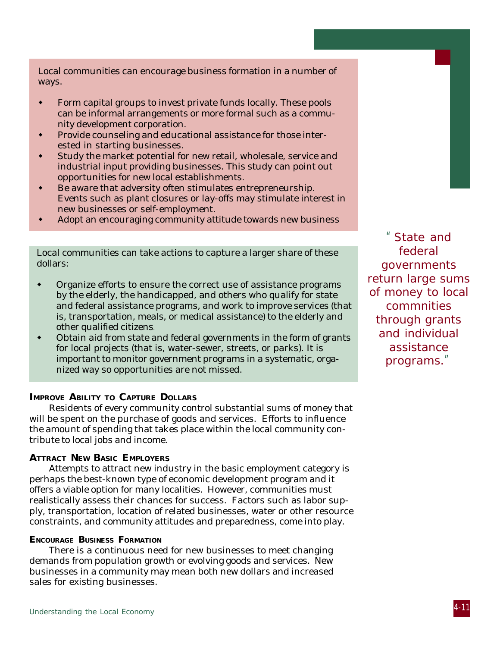Local communities can encourage business formation in a number of ways.

- Form capital groups to invest private funds locally. These pools can be informal arrangements or more formal such as a community development corporation.
- **\*** Provide counseling and educational assistance for those interested in starting businesses.
- \* Study the market potential for new retail, wholesale, service and industrial input providing businesses. This study can point out opportunities for new local establishments.
- Be aware that adversity often stimulates entrepreneurship. Events such as plant closures or lay-offs may stimulate interest in new businesses or self-employment.
- Adopt an encouraging community attitude towards new business

Local communities can take actions to capture a larger share of these dollars:

- Organize efforts to ensure the correct use of assistance programs by the elderly, the handicapped, and others who qualify for state and federal assistance programs, and work to improve services (that is, transportation, meals, or medical assistance) to the elderly and other qualified citizens.
- Obtain aid from state and federal governments in the form of grants for local projects (that is, water-sewer, streets, or parks). It is important to monitor government programs in a systematic, organized way so opportunities are not missed.

### **IMPROVE ABILITY TO CAPTURE DOLLARS**

Residents of every community control substantial sums of money that will be spent on the purchase of goods and services. Efforts to influence the amount of spending that takes place within the local community contribute to local jobs and income.

#### **ATTRACT NEW BASIC EMPLOYERS**

Attempts to attract new industry in the basic employment category is perhaps the best-known type of economic development program and it offers a viable option for many localities. However, communities must realistically assess their chances for success. Factors such as labor supply, transportation, location of related businesses, water or other resource constraints, and community attitudes and preparedness, come into play.

#### **ENCOURAGE BUSINESS FORMATION**

There is a continuous need for new businesses to meet changing demands from population growth or evolving goods and services. New businesses in a community may mean both new dollars and increased sales for existing businesses.

"State and federal governments return large sums of money to local commnities through grants and individual assistance programs."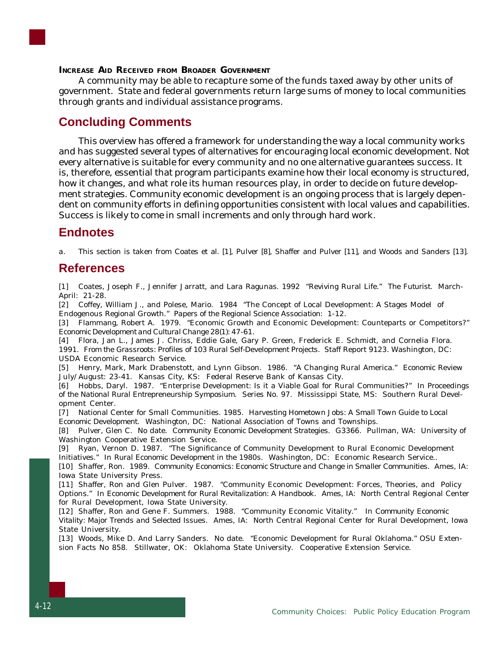#### **INCREASE AID RECEIVED FROM BROADER GOVERNMENT**

A community may be able to recapture some of the funds taxed away by other units of government. State and federal governments return large sums of money to local communities through grants and individual assistance programs.

# **Concluding Comments**

This overview has offered a framework for understanding the way a local community works and has suggested several types of alternatives for encouraging local economic development. Not every alternative is suitable for every community and no one alternative guarantees success. It is, therefore, essential that program participants examine how their local economy is structured, how it changes, and what role its human resources play, in order to decide on future development strategies. Community economic development is an ongoing process that is largely dependent on community efforts in defining opportunities consistent with local values and capabilities. Success is likely to come in small increments and only through hard work.

## **Endnotes**

a. This section is taken from Coates et al. [1], Pulver [8], Shaffer and Pulver [11], and Woods and Sanders [13].

## **References**

[1] Coates, Joseph F., Jennifer Jarratt, and Lara Ragunas. 1992 "Reviving Rural Life." *The Futurist.* March-April: 21-28.

[2] Coffey, William J., and Polese, Mario. 1984 "The Concept of Local Development: A Stages Model of Endogenous Regional Growth." *Papers of the Regional Science Association*: 1-12.

[3] Flammang, Robert A. 1979. "Economic Growth and Economic Development: Counteparts or Competitors?" *Economic Development and Cultural Change 28(1)*: 47-61.

[4] Flora, Jan L., James J. Chriss, Eddie Gale, Gary P. Green, Frederick E. Schmidt, and Cornelia Flora. 1991. *From the Grassroots: Profiles of 103 Rural Self-Development Projects.* Staff Report 9123. Washington, DC: USDA Economic Research Service.

[5] Henry, Mark, Mark Drabenstott, and Lynn Gibson. 1986. "A Changing Rural America." *Economic Review* July/August: 23-41. Kansas City, KS: Federal Reserve Bank of Kansas City.

[6] Hobbs, Daryl. 1987. "Enterprise Development: Is it a Viable Goal for Rural Communities?" In *Proceedings of the National Rural Entrepreneurship Symposium*. Series No. 97. Mississippi State, MS: Southern Rural Development Center.

[7] National Center for Small Communities. 1985. *Harvesting Hometown Jobs: A Small Town Guide to Local Economic Development*. Washington, DC: National Association of Towns and Townships.

[8] Pulver, Glen C. No date. *Community Economic Development Strategies*. G3366. Pullman, WA: University of Washington Cooperative Extension Service.

[9] Ryan, Vernon D. 1987. "The Significance of Community Development to Rural Economic Development Initiatives." In *Rural Economic Development in the 1980s*. Washington, DC: Economic Research Service..

[10] Shaffer, Ron. 1989. *Community Economics: Economic Structure and Change in Smaller Communities*. Ames, IA: Iowa State University Press.

[11] Shaffer, Ron and Glen Pulver. 1987. "Community Economic Development: Forces, Theories, and Policy Options." In *Economic Development for Rural Revitalization: A Handbook*. Ames, IA: North Central Regional Center for Rural Development, Iowa State University.

[12] Shaffer, Ron and Gene F. Summers. 1988. "Community Economic Vitality." In *Community Economic Vitality: Major Trends and Selected Issues*. Ames, IA: North Central Regional Center for Rural Development, Iowa State University.

[13] Woods, Mike D. And Larry Sanders. No date. "Economic Development for Rural Oklahoma." OSU Extension Facts No 858. Stillwater, OK: Oklahoma State University. Cooperative Extension Service.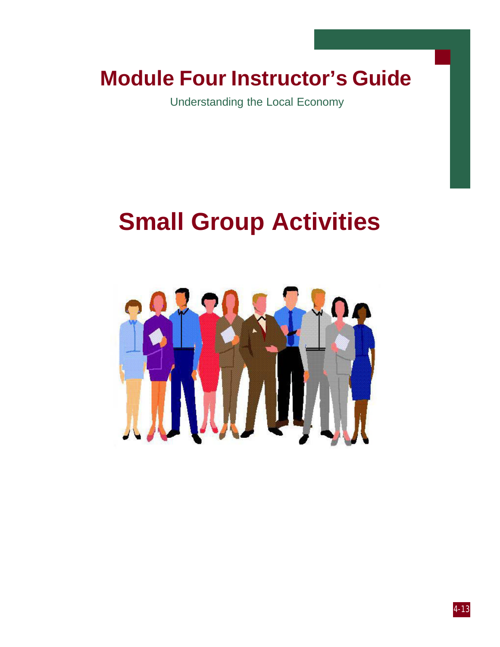# **Module Four Instructor's Guide**

Understanding the Local Economy

# **Small Group Activities**

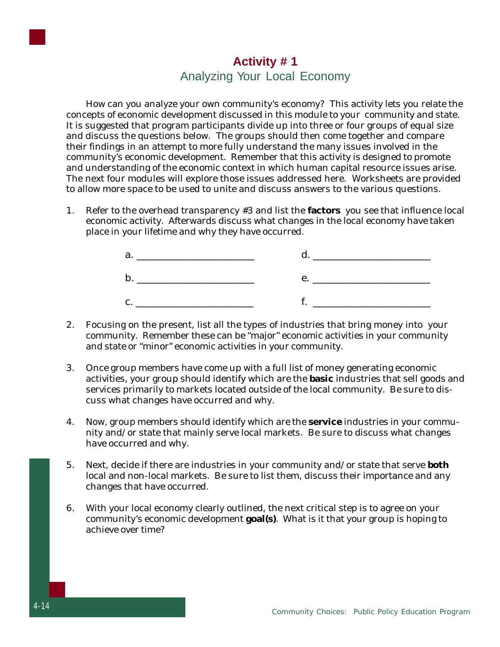# **Activity # 1** Analyzing Your Local Economy

How can you analyze your own community's economy? This activity lets you relate the concepts of economic development discussed in this module to your community and state. It is suggested that program participants divide up into three or four groups of equal size and discuss the questions below. The groups should then come together and compare their findings in an attempt to more fully understand the many issues involved in the community's economic development. Remember that this activity is designed to promote and understanding of the economic context in which human capital resource issues arise. The next four modules will explore those issues addressed here. Worksheets are provided to allow more space to be used to unite and discuss answers to the various questions.

1. Refer to the overhead transparency #3 and list the **factors** you see that influence local economic activity. Afterwards discuss what changes in the local economy have taken place in your lifetime and why they have occurred.



- 2. Focusing on the present, list all the types of industries that bring money into your community. Remember these can be "major" economic activities in your community and state or "minor" economic activities in your community.
- 3. Once group members have come up with a full list of money generating economic activities, your group should identify which are the **basic** industries that sell goods and services primarily to markets located outside of the local community. Be sure to discuss what changes have occurred and why.
- 4. Now, group members should identify which are the **service** industries in your community and/or state that mainly serve local markets. Be sure to discuss what changes have occurred and why.
- 5. Next, decide if there are industries in your community and/or state that serve **both** local and non-local markets. Be sure to list them, discuss their importance and any changes that have occurred.
- 6. With your local economy clearly outlined, the next critical step is to agree on your community's economic development **goal(s)**. What is it that your group is hoping to achieve over time?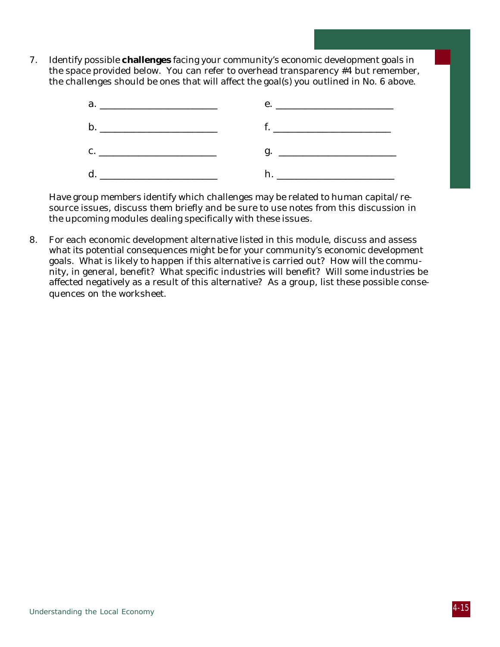7. Identify possible **challenges** facing your community's economic development goals in the space provided below. You can refer to overhead transparency #4 but remember, the challenges should be ones that will affect the goal(s) you outlined in No. 6 above.



Have group members identify which challenges may be related to human capital/resource issues, discuss them briefly and be sure to use notes from this discussion in the upcoming modules dealing specifically with these issues.

8. For each economic development alternative listed in this module, discuss and assess what its potential consequences might be for your community's economic development goals. What is likely to happen if this alternative is carried out? How will the community, in general, benefit? What specific industries will benefit? Will some industries be affected negatively as a result of this alternative? As a group, list these possible consequences on the worksheet.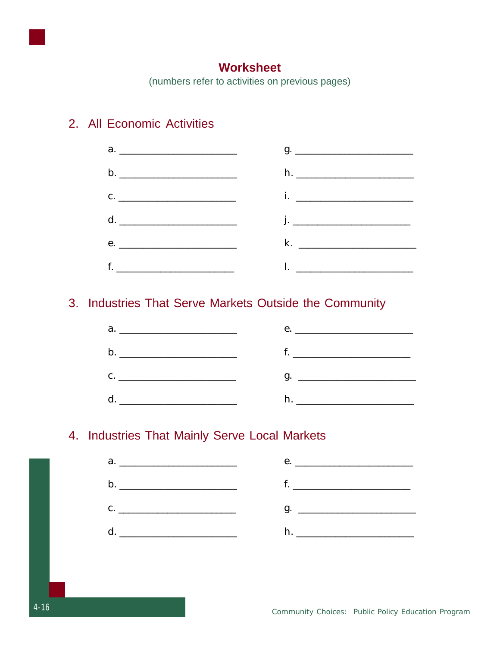

# **Worksheet**

(numbers refer to activities on previous pages)

# 2. All Economic Activities



# 3. Industries That Serve Markets Outside the Community



# 4. Industries That Mainly Serve Local Markets

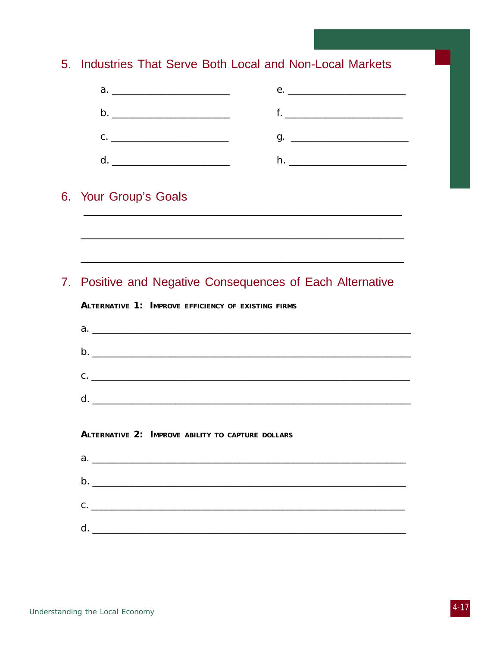# 5. Industries That Serve Both Local and Non-Local Markets



# 6. Your Group's Goals

# 7. Positive and Negative Consequences of Each Alternative

#### **ALTERNATIVE 1: IMPROVE EFFICIENCY OF EXISTING FIRMS**

|              | $C.$ $\qquad \qquad$ |
|--------------|----------------------|
| <sub>d</sub> |                      |

#### **ALTERNATIVE 2: IMPROVE ABILITY TO CAPTURE DOLLARS**

| d. |  |  |  |
|----|--|--|--|